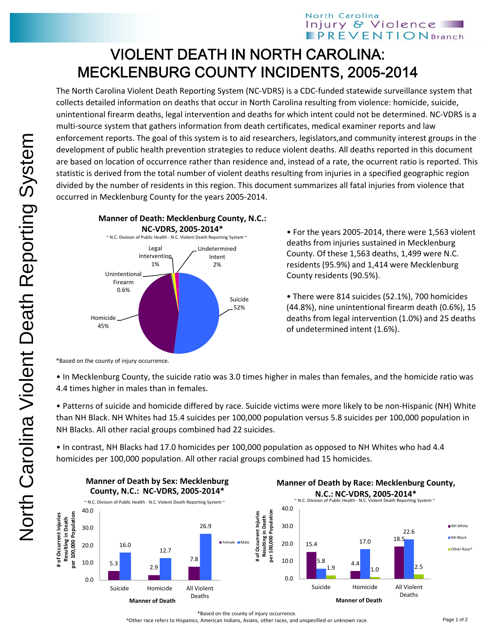## VIOLENT DEATH IN NORTH CAROLINA: MECKLENBURG COUNTY INCIDENTS, 2005-2014

The North Carolina Violent Death Reporting System (NC‐VDRS) is a CDC‐funded statewide surveillance system that collects detailed information on deaths that occur in North Carolina resulting from violence: homicide, suicide, unintentional firearm deaths, legal intervention and deaths for which intent could not be determined. NC‐VDRS is a multi-source system that gathers information from death certificates, medical examiner reports and law enforcement reports. The goal of this system is to aid researchers, legislators,and community interest groups in the development of public health prevention strategies to reduce violent deaths. All deaths reported in this document are based on location of occurrence rather than residence and, instead of a rate, the ocurrent ratio is reported. This statistic is derived from the total number of violent deaths resulting from injuries in a specified geographic region divided by the number of residents in this region. This document summarizes all fatal injuries from violence that occurred in Mecklenburg County for the years 2005‐2014.



• For the years 2005‐2014, there were 1,563 violent deaths from injuries sustained in Mecklenburg County. Of these 1,563 deaths, 1,499 were N.C. residents (95.9%) and 1,414 were Mecklenburg County residents (90.5%).

• There were 814 suicides (52.1%), 700 homicides (44.8%), nine unintentional firearm death (0.6%), 15 deaths from legal intervention (1.0%) and 25 deaths of undetermined intent (1.6%).

\*Based on the county of injury occurrence.

• In Mecklenburg County, the suicide ratio was 3.0 times higher in males than females, and the homicide ratio was 4.4 times higher in males than in females.

• Patterns of suicide and homicide differed by race. Suicide victims were more likely to be non‐Hispanic (NH) White than NH Black. NH Whites had 15.4 suicides per 100,000 population versus 5.8 suicides per 100,000 population in NH Blacks. All other racial groups combined had 22 suicides.

• In contrast, NH Blacks had 17.0 homicides per 100,000 population as opposed to NH Whites who had 4.4 homicides per 100,000 population. All other racial groups combined had 15 homicides.



\*Based on the county of injury occurrence.

^Other race refers to Hispanics, American Indians, Asians, other races, and unspecified or unknown race.